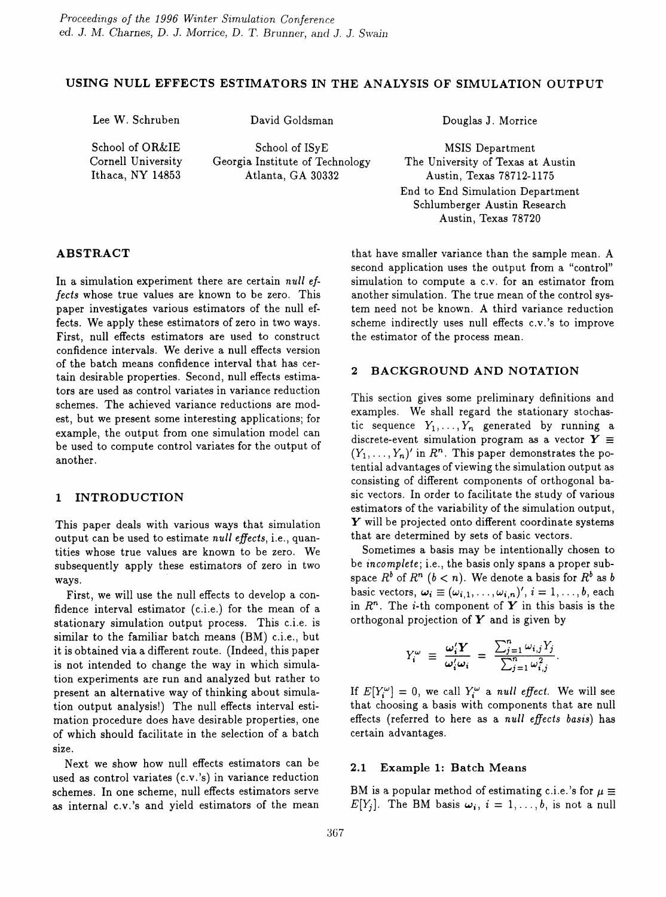# USING NULL EFFECTS ESTIMATORS IN THE ANALYSIS OF SIMULATION OUTPUT

Lee W. Schruben

David Goldsman

School of OR&IE Cornell University Ithaca, NY 14853

School of ISyE Georgia Institute of Technology Atlanta, GA 30332

Douglas J. Morrice

MSIS Department The University of Texas at Austin Austin, Texas 78712-1175 End to End Simulation Department Schlumberger Austin Research Austin, Texas 78720

# ABSTRACT

In a simulation experiment there are certain *null effects* whose true values are known to be zero. This paper investigates various estimators of the null effects. We apply these estimators of zero in two ways. First, null effects estimators are used to construct confidence intervals. We derive a null effects version of the batch means confidence interval that has certain desirable properties. Second, null effects estimators are used as control variates in variance reduction schemes. The achieved variance reductions are modest, but we present some interesting applications; for example, the output from one simulation model can be used to compute control variates for the output of another.

# 1 INTRODUCTION

This paper deals with various ways that simulation output can be used to estimate *null effects,* i.e., quantities whose true values are known to be zero. We subsequently apply these estimators of zero in two ways.

First, we will use the null effects to develop a confidence interval estimator (c.i.e.) for the mean of a stationary simulation output process. This c.i.e. is similar to the familiar batch means (BM) c.i.e., but it is obtained via a different route. (Indeed, this paper is not intended to change the way in which simulation experiments are run and analyzed but rather to present an alternative way of thinking about simulation output analysis!) The null effects interval estimation procedure does have desirable properties, one of which should facilitate in the selection of a batch size.

Next we show how null effects estimators can be used as control variates (c.v. 's) in variance reduction schemes. In one scheme, null effects estimators serve as internal c.v.'s and yield estimators of the mean that have smaller variance than the sample mean. A second application uses the output from a "control" simulation to compute a C.v. for an estimator from another simulation. The true mean of the control system need not be known. A third variance reduction scheme indirectly uses null effects c.v. 's to improve the estimator of the process mean.

### 2 BACKGROUND AND NOTATION

This section gives some preliminary definitions and examples. We shall regard the stationary stochastic sequence  $Y_1, \ldots, Y_n$  generated by running a discrete-event simulation program as a vector  $Y \equiv$  $(Y_1, \ldots, Y_n)'$  in  $R^n$ . This paper demonstrates the potential advantages of viewing the simulation output as consisting of different components of orthogonal basic vectors. In order to facilitate the study of various estimators of the variability of the simulation output,  $\boldsymbol{Y}$  will be projected onto different coordinate systems that are determined by sets of basic vectors.

Sometimes a basis may be intentionally chosen to be *incomplete;* i.e., the basis only spans a proper subspace  $R^b$  of  $R^n$   $(b < n)$ . We denote a basis for  $R^b$  as  $b$ basic vectors,  $\omega_i \equiv (\omega_{i,1}, \ldots, \omega_{i,n})'$ ,  $i = 1, \ldots, b$ , each in  $R^n$ . The *i*-th component of Y in this basis is the orthogonal projection of  $Y$  and is given by

$$
Y_i^{\omega} \equiv \frac{\omega_i' Y}{\omega_i' \omega_i} = \frac{\sum_{j=1}^n \omega_{i,j} Y_j}{\sum_{j=1}^n \omega_{i,j}^2}
$$

If  $E[Y_i^{\omega}] = 0$ , we call  $Y_i^{\omega}$  a *null effect*. We will see that choosing a basis with components that are null effects (referred to here as a *null effects basis)* has certain advantages.

# 2.1 Example 1: Batch Means

BM is a popular method of estimating c.i.e.'s for  $\mu \equiv$  $E[Y_i]$ . The BM basis  $\omega_i$ ,  $i = 1, \ldots, b$ , is not a null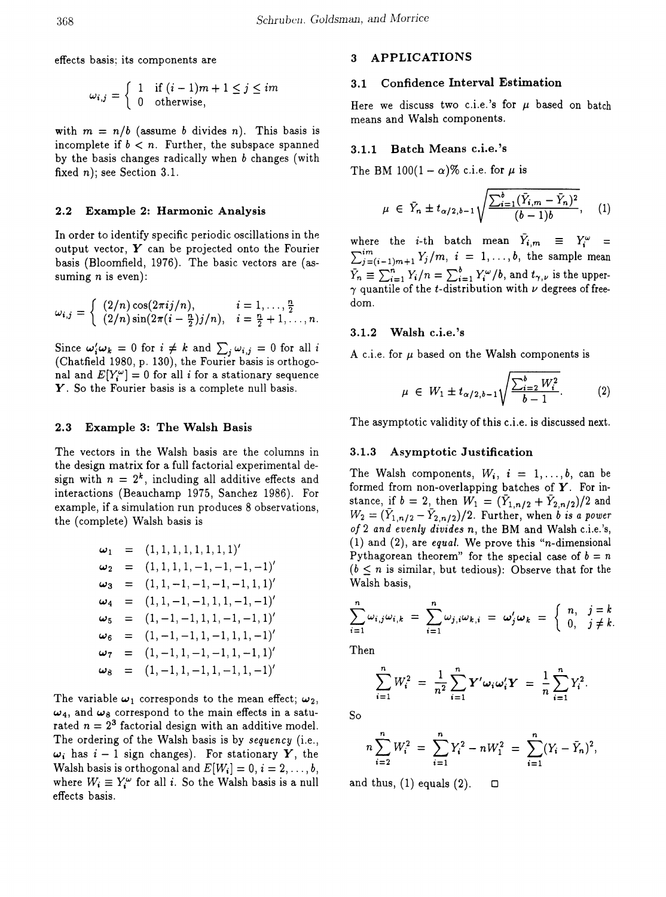effects basis; its components are 3 APPLICATIONS

$$
\omega_{i,j} = \begin{cases} 1 & \text{if } (i-1)m + 1 \leq j \leq im \\ 0 & \text{otherwise,} \end{cases}
$$

with  $m = n/b$  (assume *b* divides *n*). This basis is incomplete if  $b < n$ . Further, the subspace spanned by the basis changes radically when  $b$  changes (with fixed  $n$ ); see Section 3.1.

#### 2.2 Example 2: Harmonic Analysis

In order to identify specific periodic oscillations in the output vector, *Y* can be projected onto the Fourier basis (Bloomfield, 1976). The basic vectors are (assuming *n* is even):

$$
\omega_{i,j} = \begin{cases} (2/n) \cos(2\pi i j/n), & i = 1, ..., \frac{n}{2} \\ (2/n) \sin(2\pi (i - \frac{n}{2}) j/n), & i = \frac{n}{2} + 1, ..., n. \end{cases}
$$

Since  $\omega_i' \omega_k = 0$  for  $i \neq k$  and  $\sum_j \omega_{i,j} = 0$  for all  $i$ (Chatfield 1980, p. 130), the Fourier basis is orthogonal and  $E[Y_i^{\omega}] = 0$  for all *i* for a stationary sequence Y. So the Fourier basis is a complete null basis.

The vectors in the Walsh basis are the columns in the design matrix for a full factorial experimental design with  $n = 2<sup>k</sup>$ , including all additive effects and interactions (Beauchamp 1975, Sanchez 1986). For example, if a simulation run produces 8 observations, the (complete) Walsh basis is

$$
\begin{array}{rcl}\n\omega_1 & = & (1, 1, 1, 1, 1, 1, 1, 1)^\prime \\
\omega_2 & = & (1, 1, 1, 1, -1, -1, -1, -1)^\prime \\
\omega_3 & = & (1, 1, -1, -1, -1, -1, 1, 1)^\prime \\
\omega_4 & = & (1, 1, -1, -1, 1, 1, -1, -1)^\prime \\
\omega_5 & = & (1, -1, -1, 1, 1, -1, -1, 1)^\prime \\
\omega_6 & = & (1, -1, -1, 1, -1, 1, 1, -1)^\prime \\
\omega_7 & = & (1, -1, 1, -1, -1, 1, -1, 1)^\prime \\
\omega_8 & = & (1, -1, 1, -1, 1, -1, 1, -1)^\prime\n\end{array}
$$

The variable  $\omega_1$  corresponds to the mean effect;  $\omega_2$ ,  $\omega_4$ , and  $\omega_8$  correspond to the main effects in a saturated  $n = 2<sup>3</sup>$  factorial design with an additive model. The ordering of the Walsh basis is by *sequency* (i.e.,  $\omega_i$  has  $i-1$  sign changes). For stationary Y, the Walsh basis is orthogonal and  $E[W_i] = 0, i = 2, \ldots, b$ , where  $W_i \equiv Y_i^{\omega}$  for all *i*. So the Walsh basis is a null effects basis.

# 3.1 Confidence Interval Estimation

Here we discuss two c.i.e.'s for  $\mu$  based on batch means and Walsh components.

#### 3.1.1 Batch Means c.i.e.'s

The BM  $100(1 - \alpha)\%$  c.i.e. for  $\mu$  is

$$
\mu \in \bar{Y}_n \pm t_{\alpha/2, b-1} \sqrt{\frac{\sum_{i=1}^b (\bar{Y}_{i,m} - \bar{Y}_n)^2}{(b-1)b}}, \quad (1)
$$

where the *i*-th batch mean  $\overline{Y}_{i,m} \equiv Y_i^{\omega} =$  $\sum_{j=(i-1)m+1}^{im}Y_j/m, i = 1,\ldots,b$ , the sample mean  $\bar{Y}_n \equiv \sum_{i=1}^n Y_i/n = \sum_{i=1}^b Y_i^{\omega}/b$ , and  $t_{\gamma,\nu}$  is the upper- $\gamma$  quantile of the t-distribution with  $\nu$  degrees of freedom.

### 3.1.2 Walsh c.i.e.'s

A c.i.e. for  $\mu$  based on the Walsh components is

$$
\mu \in W_1 \pm t_{\alpha/2, b-1} \sqrt{\frac{\sum_{i=2}^{b} W_i^2}{b-1}}.
$$
 (2)

2.3 Example 3: The Walsh Basis The asymptotic validity of this c.i.e. is discussed next.

### 3.1.3 Asymptotic Justification

The Walsh components,  $W_i$ ,  $i = 1, \ldots, b$ , can be formed from non-overlapping batches of *Y.* For instance, if  $b = 2$ , then  $W_1 = (\bar{Y}_{1,n/2} + \bar{Y}_{2,n/2})/2$  and  $W_2 = (\bar{Y}_{1,n/2} - \bar{Y}_{2,n/2})/2$ . Further, when *b is a power of* 2 *and evenly divides n,* the BM and Walsh c.Le.'s, (1) and (2), are *equal.* We prove this "n-dimensional Pythagorean theorem" for the special case of  $b = n$  $(b \leq n$  is similar, but tedious): Observe that for the Walsh basis,

$$
\sum_{i=1}^{n} \omega_{i,j} \omega_{i,k} = \sum_{i=1}^{n} \omega_{j,i} \omega_{k,i} = \omega'_{j} \omega_{k} = \begin{cases} n, & j=k\\ 0, & j \neq k \end{cases}
$$

Then

$$
\sum_{i=1}^{n} W_i^2 = \frac{1}{n^2} \sum_{i=1}^{n} \mathbf{Y}' \omega_i \omega_i' \mathbf{Y} = \frac{1}{n} \sum_{i=1}^{n} Y_i^2.
$$

So

$$
n\sum_{i=2}^{n}W_i^2 = \sum_{i=1}^{n}Y_i^2 - nW_1^2 = \sum_{i=1}^{n}(Y_i - \bar{Y}_n)^2,
$$

and thus, (1) equals (2).  $\Box$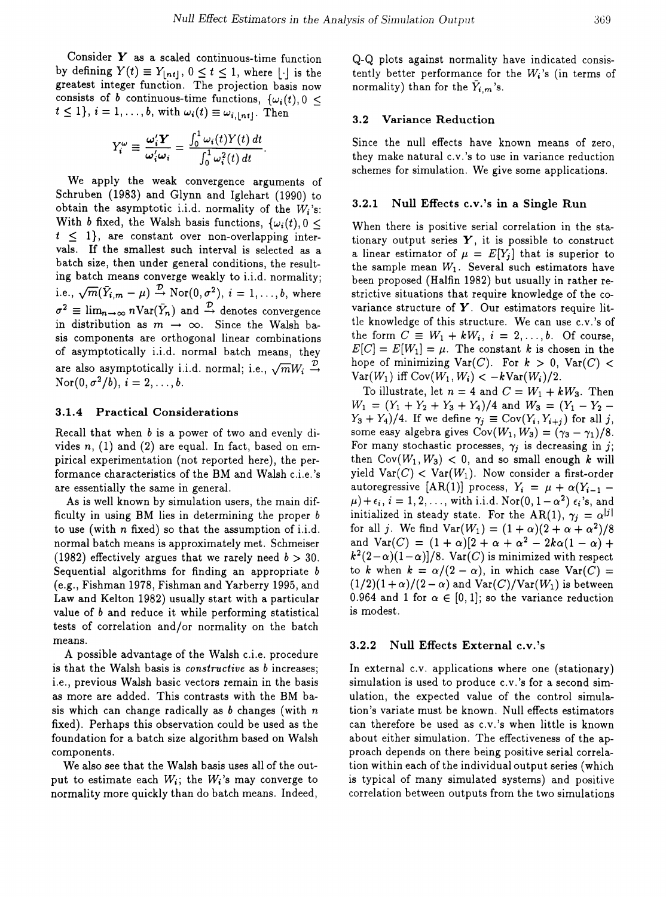Consider *Y* as a scaled continuous-time function by defining  $Y(t) \equiv Y_{\lfloor nt \rfloor}$ ,  $0 \le t \le 1$ , where  $\lfloor \cdot \rfloor$  is the greatest integer function. The projection basis now consists of *b* continuous-time functions,  $\{\omega_i(t), 0\leq$  $t \leq 1$ ,  $i = 1, ..., b$ , with  $\omega_i(t) \equiv \omega_{i, \lfloor nt \rfloor}$ . Then

$$
Y_i^{\omega} \equiv \frac{\omega_i' \mathbf{Y}}{\omega_i' \omega_i} = \frac{\int_0^1 \omega_i(t) Y(t) dt}{\int_0^1 \omega_i^2(t) dt}.
$$

We apply the weak convergence arguments of Schruben (1983) and Glynn and Iglehart (1990) to obtain the asymptotic i.i.d. normality of the *Wi'S:* With b fixed, the Walsh basis functions,  $\{\omega_i(t), 0\leq$  $t \leq 1$ , are constant over non-overlapping intervals. If the smallest such interval is selected as a batch size, then under general conditions, the resulting batch means converge weakly to i.i.d. normality; i.e.,  $\sqrt{m}(\bar{Y}_{i,m} - \mu) \stackrel{\mathcal{D}}{\rightarrow} \text{Nor}(0, \sigma^2), i = 1, ..., b$ , where  $\sigma^2 \equiv \lim_{n \to \infty} n \text{Var}(\bar{Y}_n)$  and  $\stackrel{\mathcal{D}}{\to}$  denotes convergence in distribution as  $m \rightarrow \infty$ . Since the Walsh basis components are orthogonal linear combinations of asymptotically i.i.d. normal batch means, they are also asymptotically i.i.d. normal; i.e.,  $\sqrt{m}W_i \stackrel{\mathcal{D}}{\rightarrow}$  $\text{Nor}(0, \sigma^2/b), i = 2, \ldots, b.$ 

# 3.1.4 Practical Considerations

Recall that when b is a power of two and evenly divides *n,* (1) and (2) are equal. In fact, based on empirical experimentation (not reported here), the performance characteristics of the BM and Walsh c.i.e. 's are essentially the same in general.

As is well known by simulation users, the main difficulty in using BM lies in determining the proper  $$ to use (with *n* fixed) so that the assumption of i.i.d. normal batch means is approximately met. Schmeiser (1982) effectively argues that we rarely need  $b > 30$ . Sequential algorithms for finding an appropriate *b* (e.g., Fishman 1978, Fishman and Yarberry 1995, and Law and Kelton 1982) usually start with a particular value of b and reduce it while performing statistical tests of correlation and/or normality on the batch means.

A possible advantage of the Walsh c.i.e. procedure is that the Walsh basis is *constructive* as b increases; i.e., previous Walsh basic vectors remain in the basis as more are added. This contrasts with the BM basis which can change radically as *b* changes (with *n* fixed). Perhaps this observation could be used as the foundation for a batch size algorithm based on Walsh components.

We also see that the Walsh basis uses all of the output to estimate each  $W_i$ ; the  $W_i$ 's may converge to normality more quickly than do batch means. Indeed, Q-Q plots against normality have indicated consistently better performance for the  $W_i$ 's (in terms of normality) than for the  $\bar{Y}_{i,m}$ 's.

## 3.2 Variance Reduction

Since the null effects have known means of zero, they make natural C.V. 's to use in variance reduction schemes for simulation. We give some applications.

### 3.2.1 Null Effects c.v.'s in a Single Run

When there is positive serial correlation in the stationary output series  $Y$ , it is possible to construct a linear estimator of  $\mu = E[Y_i]$  that is superior to the sample mean  $W_1$ . Several such estimators have been proposed (Halfin 1982) but usually in rather restrictive situations that require knowledge of the covariance structure of *Y.* Our estimators require little knowledge of this structure. We can use c.v. 's of the form  $C \equiv W_1 + kW_i$ ,  $i = 2, ..., b$ . Of course,  $E[C] = E[W_1] = \mu$ . The constant k is chosen in the hope of minimizing  $Var(C)$ . For  $k > 0$ ,  $Var(C) <$  $Var(W_1)$  iff  $Cov(W_1, W_i) < -kVar(W_i)/2$ .

To illustrate, let  $n = 4$  and  $C = W_1 + kW_3$ . Then  $W_1 = (Y_1 + Y_2 + Y_3 + Y_4)/4$  and  $W_3 = (Y_1 - Y_2 Y_3 + Y_4$ /4. If we define  $\gamma_j \equiv \text{Cov}(Y_i, Y_{i+j})$  for all j, some easy algebra gives  $Cov(W_1, W_3) = (\gamma_3 - \gamma_1)/8$ . For many stochastic processes,  $\gamma_i$  is decreasing in j; then  $Cov(W_1, W_3) < 0$ , and so small enough k will yield  $Var(C) < Var(W_1)$ . Now consider a first-order autoregressive [AR(1)] process,  $Y_i = \mu + \alpha (Y_{i-1} \mu)+\epsilon_i, i=1,2,\ldots$ , with i.i.d. Nor(0,  $1-\alpha^2$ )  $\epsilon_i$ 's, and initialized in steady state. For the AR(1),  $\gamma_j = \alpha^{|j|}$ for all j. We find  $Var(W_1) = (1 + \alpha)(2 + \alpha + \alpha^2)/8$ and  $Var(C) = (1 + \alpha)[2 + \alpha + \alpha^2 - 2k\alpha(1 - \alpha) + \alpha]$  $k^2(2-\alpha)(1-\alpha)]/8$ . Var(C) is minimized with respect to *k* when  $k = \alpha/(2 - \alpha)$ , in which case  $Var(C)$  =  $(1/2)(1+\alpha)/(2-\alpha)$  and  $\text{Var}(C)/\text{Var}(W_1)$  is between 0.964 and 1 for  $\alpha \in [0,1]$ ; so the variance reduction is modest.

#### 3.2.2 Null Effects External c.v.'s

In external c.v. applications where one (stationary) simulation is used to produce c.v.'s for a second simulation, the expected value of the control simulation's variate must be known. Null effects estimators can therefore be used as C.V.'s when little is known about either simulation. The effectiveness of the approach depends on there being positive serial correlation within each of the individual output series (which is typical of many simulated systems) and positive correlation between outputs from the two simulations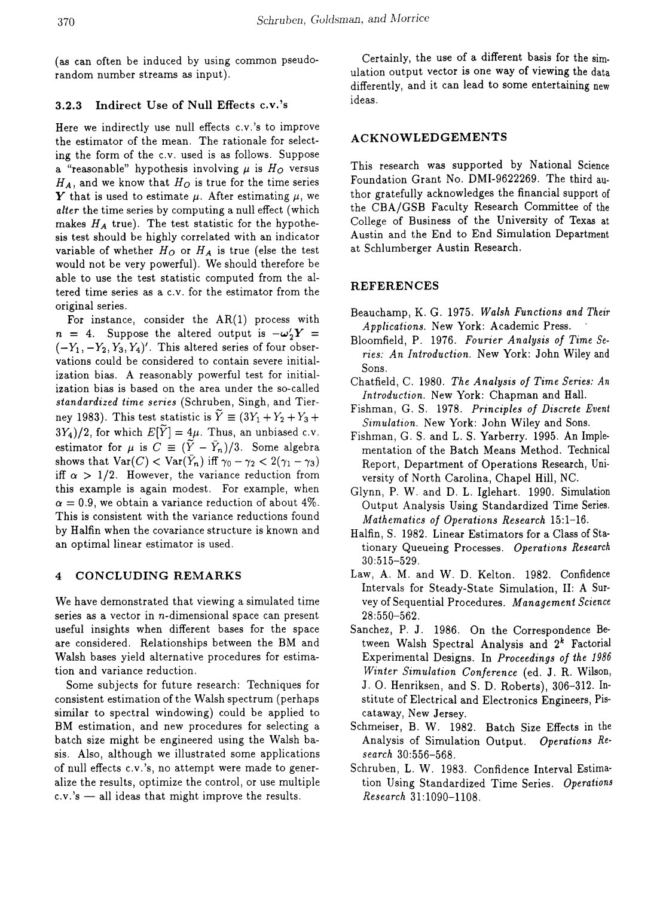(as can often be induced by using common pseudorandom number streams as input).

# 3.2.3 Indirect Use of Null Effects c.v.'s

Here we indirectly use null effects c.v.'s to improve the estimator of the mean. The rationale for selecting the form of the C.v. used is as follows. Suppose a "reasonable" hypothesis involving  $\mu$  is  $H_O$  versus  $H_A$ , and we know that  $H_O$  is true for the time series Y that is used to estimate  $\mu$ . After estimating  $\mu$ , we *alter* the time series by computing a null effect (which makes  $H_A$  true). The test statistic for the hypothesis test should be highly correlated with an indicator variable of whether  $H_O$  or  $H_A$  is true (else the test would not be very powerful). We should therefore be able to use the test statistic computed from the altered time series as a c.v. for the estimator from the original series.

For instance, consider the  $AR(1)$  process with  $n = 4$ . Suppose the altered output is  $-\omega'_2 Y = (-Y_1, -Y_2, Y_3, Y_4)'$ . This altered series of four observations could be considered to contain severe initialization bias. A reasonably powerful test for initialization bias is based on the area under the so-called *standardized time series* (Schruben, Singh, and Tierney 1983). This test statistic is  $\widetilde{Y} \equiv (3Y_1 + Y_2 + Y_3 +$  $3Y_4$ )/2, for which  $E[\tilde{Y}] = 4\mu$ . Thus, an unbiased c.v. estimator for  $\mu$  is  $C \equiv (\tilde{Y} - \bar{Y}_n)/3$ . Some algebra shows that  $\text{Var}(C) < \text{Var}(\bar{Y}_n)$  iff  $\gamma_0 - \gamma_2 < 2(\gamma_1 - \gamma_3)$ iff  $\alpha > 1/2$ . However, the variance reduction from this example is again modest. For example, when  $\alpha = 0.9$ , we obtain a variance reduction of about 4%. This is consistent with the variance reductions found by Halfin when the covariance structure is known and an optimal linear estimator is used.

# 4 CONCLUDING REMARKS

We have demonstrated that viewing a simulated time series as a vector in  $n$ -dimensional space can present useful insights when different bases for the space are considered. Relationships between the BM and Walsh bases yield alternative procedures for estimation and variance reduction.

Some subjects for future research: Techniques for consistent estimation of the Walsh spectrum (perhaps similar to spectral windowing) could be applied to BM estimation, and new procedures for selecting a batch size might be engineered using the Walsh basis. Also, although we illustrated some applications of null effects c.v.'s, no attempt were made to generalize the results, optimize the control, or use multiple  $c.v.'s$  — all ideas that might improve the results.

Certainly, the use of a different basis for the simulation output vector is one way of viewing the data differently, and it can lead to some entertaining new ideas.

## ACKNOWLEDGEMENTS

This research was supported by National Science Foundation Grant No. DMI-9622269. The third author gratefully acknowledges the financial support of the CBA/GSB Faculty Research Committee of the College of Business of the University of Texas at Austin and the End to End Simulation Department at Schlumberger Austin Research.

## REFERENCES

- Beauchamp, K. G. 1975. *Walsh Functions and Their Applications.* New York: Academic Press.
- Bloomfield, P. 1976. *Fourier Analysis of Time Series: An Introduction.* New York: John Wiley and Sons.
- Chatfield, C. 1980. *The Analysis of Time Series: An Introduction.* New York: Chapman and Hall.
- Fishman, G. S. 1978. *Principles of Discrete Event Simulation.* New York: John Wiley and Sons.
- Fishman, G. S. and L. S. Yarberry. 1995. An Implementation of the Batch Means Method. Technical Report, Department of Operations Research, University of North Carolina, Chapel Hill, NC.
- Glynn, P. W. and D. L. Iglehart. 1990. Simulation Output Analysis Using Standardized Time Series. *Mathematics of Operations Research 15:1-16.*
- Halfin, S. 1982. Linear Estimators for a Class of Stationary Queueing Processes. *Operations Research* 30:515-529.
- Law, A. M. and W. D. Kelton. 1982. Confidence Intervals for Steady-State Simulation, II: A Survey of Sequential Procedures. *Management Science* 28:550-562.
- Sanchez, P. J. 1986. On the Correspondence Between Walsh Spectral Analysis and  $2^k$  Factorial Experimental Designs. In *Proceedings of the* 1986 *Winter Simulation Conference* (ed. J. R. Wilson, J. O. Henriksen, and S. D. Roberts), 306-312. Institute of Electrical and Electronics Engineers, Piscataway, New Jersey.
- Schmeiser, B. W. 1982. Batch Size Effects in the Analysis of Simulation Output. *Operations Research 30:556-568.*
- Schruben, L. W. 1983. Confidence Interval Estimation Using Standardized Time Series. *Operations Research 31:1090-1108.*